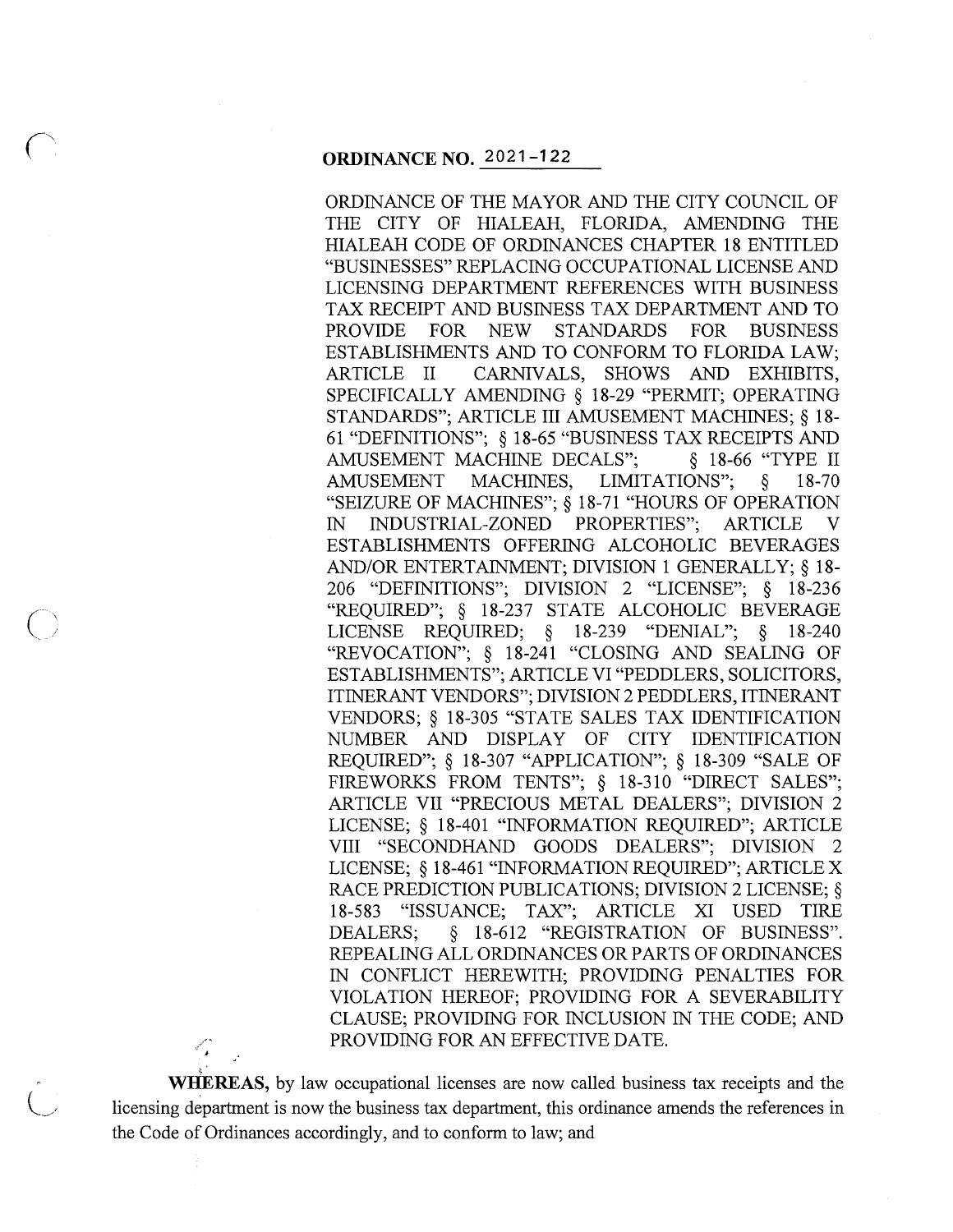#### **ORDINANCE NO.** 2021-122

 $\overline{O}$ 

ैं ।

ORDINANCE OF THE MAYOR AND THE CITY COUNCIL OF THE CITY OF HIALEAH, FLORIDA, AMENDING THE HIALEAH CODE OF ORDINANCES CHAPTER 18 ENTITLED "BUSINESSES" REPLACING OCCUPATIONAL LICENSE AND LICENSING DEPARTMENT REFERENCES WITH BUSINESS TAX RECEIPT AND BUSINESS TAX DEPARTMENT AND TO PROVIDE FOR NEW STANDARDS FOR BUSINESS ESTABLISHMENTS AND TO CONFORM TO FLORIDA LAW; ARTICLE II CARNIVALS, SHOWS AND EXHIBITS, SPECIFICALLY AMENDING § 18-29 "PERMIT; OPERATING STANDARDS"; ARTICLE III AMUSEMENT MACHINES;§ 18- 61 "DEFINITIONS"; § 18-65 "BUSINESS TAX RECEIPTS AND AMUSEMENT MACHINE DECALS"; \§ 18-66 "TYPE II AMUSEMENT MACHINES, LIMITATIONS"; § 18-70 "SEIZURE OF MACHINES";§ 18-71 "HOURS OF OPERATION IN INDUSTRIAL-ZONED PROPERTIES"; ARTICLE V ESTABLISHMENTS OFFERING ALCOHOLIC BEVERAGES AND/OR ENTERTAINMENT; DIVISION 1 GENERALLY; § 18- 206 "DEFINITIONS"; DIVISION 2 "LICENSE"; § 18-236 "REQUIRED"; § 18-237 STATE ALCOHOLIC BEVERAGE LICENSE REQUIRED; § 18-239 "DENIAL"; § 18-240 "REVOCATION"; § 18-241 "CLOSING AND SEALING OF ESTABLISHMENTS"; ARTICLE VI "PEDDLERS, SOLICITORS, ITINERANT VENDORS"; DIVISION 2 PEDDLERS, ITINERANT VENDORS; § 18-305 "STATE SALES TAX IDENTIFICATION NUMBER AND DISPLAY OF CITY IDENTIFICATION REQUIRED"; § 18-307 "APPLICATION"; § 18-309 "SALE OF FIREWORKS FROM TENTS"; § 18-310 "DIRECT SALES"; ARTICLE VII "PRECIOUS METAL DEALERS"; DIVISION 2 LICENSE; § 18-401 "INFORMATION REQUIRED"; ARTICLE VIII "SECONDHAND GOODS DEALERS"; DIVISION 2 LICENSE; § 18-461 "INFORMATION REQUIRED"; ARTICLE X RACE PREDICTION PUBLICATIONS; DIVISION 2 LICENSE; § 18-583 "ISSUANCE; TAX"; ARTICLE XI USED TIRE DEALERS; § 18-612 "REGISTRATION OF BUSINESS". REPEALING ALL ORDINANCES OR PARTS OF ORDINANCES IN CONFLICT HEREWITH; PROVIDING PENALTIES FOR VIOLATION HEREOF; PROVIDING FOR A SEVERABILITY CLAUSE; PROVIDING FOR INCLUSION IN THE CODE; AND PROVIDING FOR AN EFFECTIVE DATE.

**WHEREAS,** by law occupational licenses are now called business tax receipts and the licensing department is now the business tax department, this ordinance amends the references in the Code of Ordinances accordingly, and to conform to law; and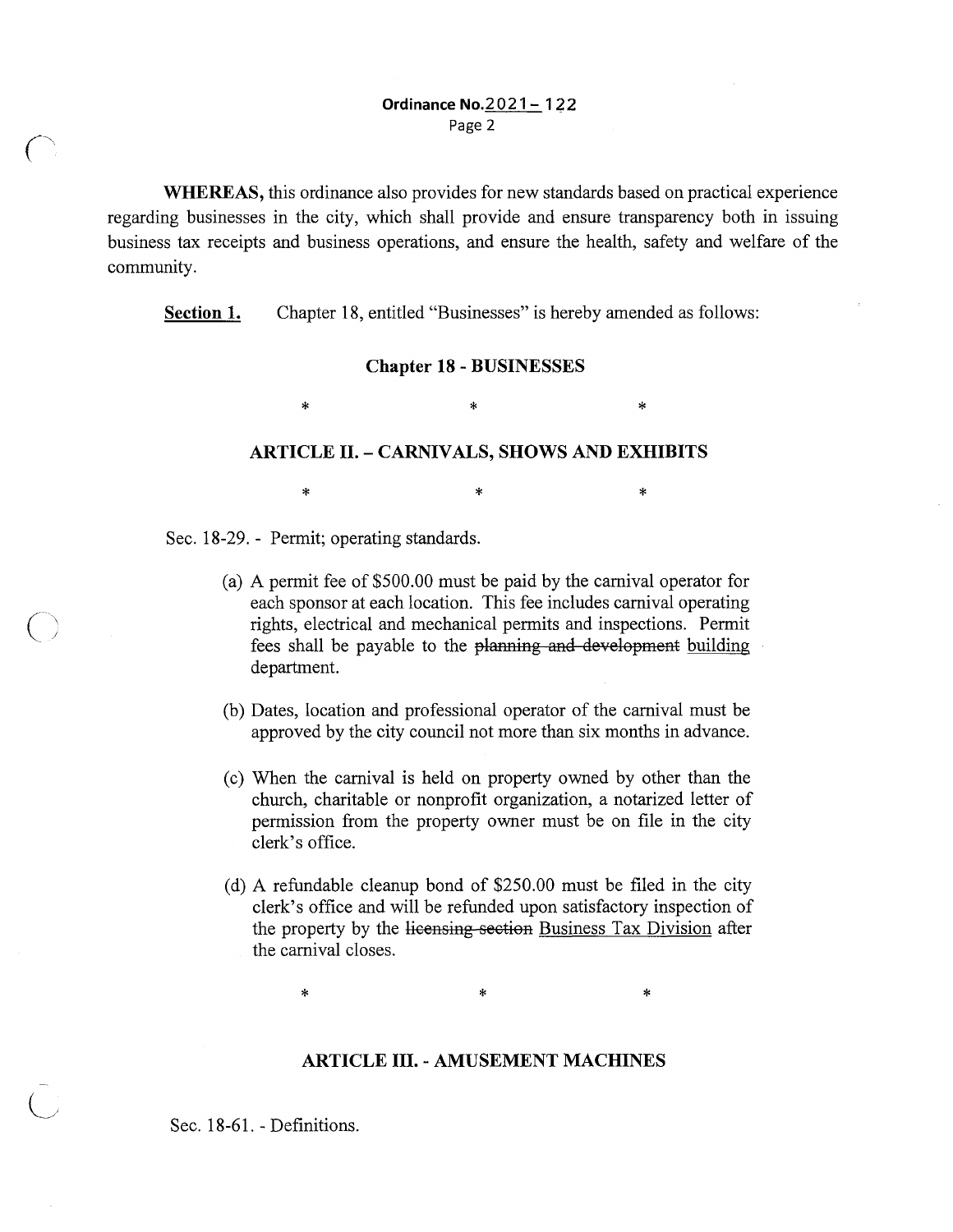**WHEREAS,** this ordinance also provides for new standards based on practical experience regarding businesses in the city, which shall provide and ensure transparency both in issuing business tax receipts and business operations, and ensure the health, safety and welfare of the community.

**Section 1.** Chapter 18, entitled "Businesses" is hereby amended as follows:

#### **Chapter 18 - BUSINESSES**

 $\ddot{x}$  \*  $\ddot{x}$ 

#### **ARTICLE II. - CARNIVALS, SHOWS AND EXHIBITS**

\* \* \*

Sec. 18-29. - Permit; operating standards.

- (a) A permit fee of \$500.00 must be paid by the carnival operator for each sponsor at each location. This fee includes carnival operating rights, electrical and mechanical permits and inspections. Permit fees shall be payable to the planning and development building department.
- (b) Dates, location and professional operator of the carnival must be approved by the city council not more than six months in advance.
- ( c) When the carnival is held on property owned by other than the church, charitable or nonprofit organization, a notarized letter of permission from the property owner must be on file in the city clerk's office.
- ( d) A refundable cleanup bond of \$250.00 must be filed in the city clerk's office and will be refunded upon satisfactory inspection of the property by the licensing section Business Tax Division after the carnival closes.

 $\ast$   $\ast$   $\ast$ 

#### **ARTICLE III. - AMUSEMENT MACHINES**

Sec. 18-61. - Definitions.

 $\overline{\bigcup}$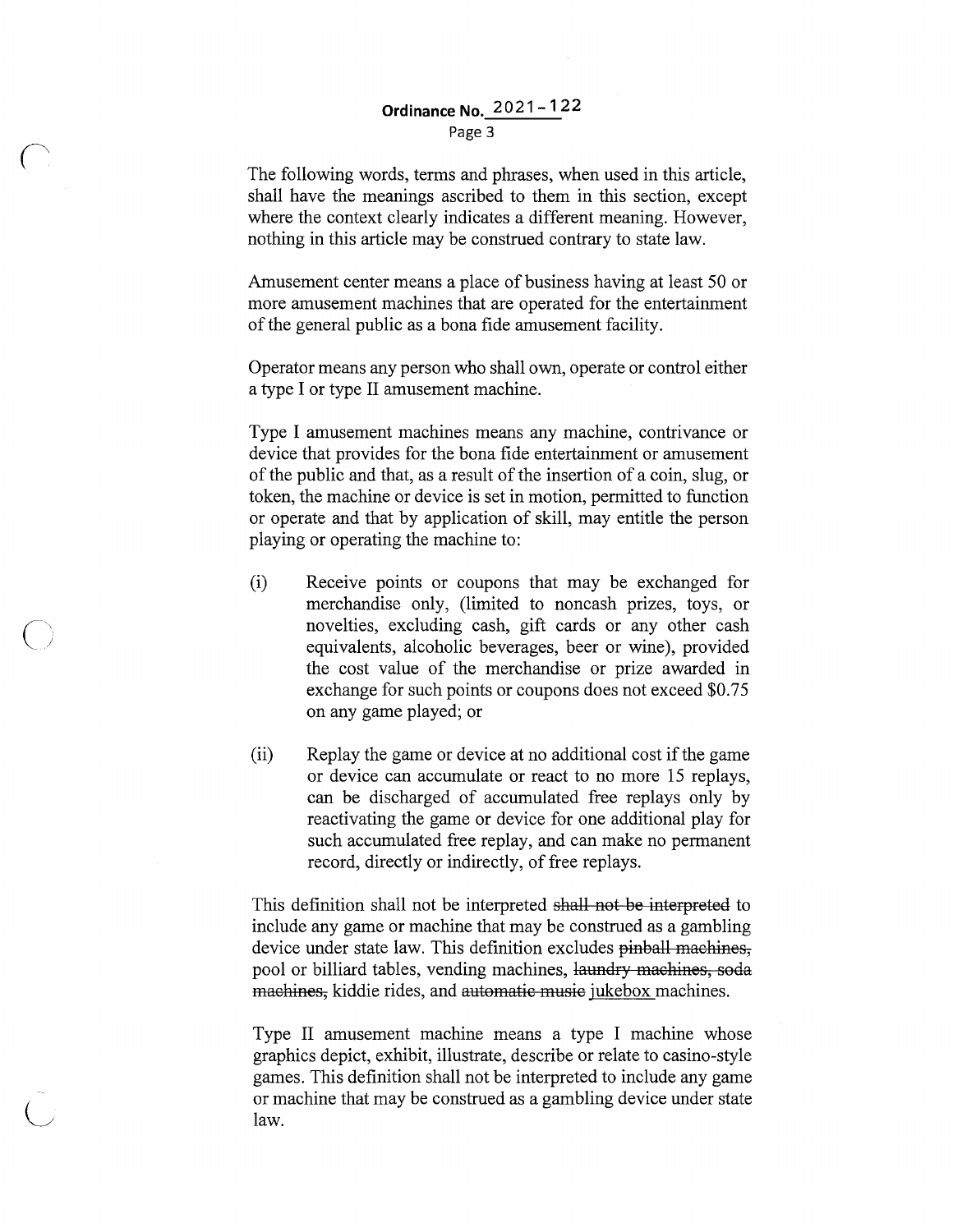#### **Ordinance No. 2021-122**  Page 3

The following words, terms and phrases, when used in this article, shall have the meanings ascribed to them in this section, except where the context clearly indicates a different meaning. However, nothing in this article may be construed contrary to state law.

Amusement center means a place of business having at least 50 or more amusement machines that are operated for the entertainment of the general public as a bona fide amusement facility.

Operator means any person who shall own, operate or control either a type I or type II amusement machine.

Type I amusement machines means any machine, contrivance or device that provides for the bona fide entertainment or amusement of the public and that, as a result of the insertion of a coin, slug, or token, the machine or device is set in motion, permitted to function or operate and that by application of skill, may entitle the person playing or operating the machine to:

- (i) Receive points or coupons that may be exchanged for merchandise only, (limited to noncash prizes, toys, or novelties, excluding cash, gift cards or any other cash equivalents, alcoholic beverages, beer or wine), provided the cost value of the merchandise or prize awarded in exchange for such points or coupons does not exceed \$0.75 on any game played; or
- (ii) Replay the game or device at no additional cost if the game or device can accumulate or react to no more 15 replays, can be discharged of accumulated free replays only by reactivating the game or device for one additional play for such accumulated free replay, and can make no permanent record, directly or indirectly, of free replays.

This definition shall not be interpreted shall not be interpreted to include any game or machine that may be construed as a gambling device under state law. This definition excludes pinball machines, pool or billiard tables, vending machines, laundry machines, soda machines, kiddie rides, and automatic music jukebox machines.

Type II amusement machine means a type I machine whose graphics depict, exhibit, illustrate, describe or relate to casino-style games. This definition shall not be interpreted to include any game or machine that may be construed as a gambling device under state law.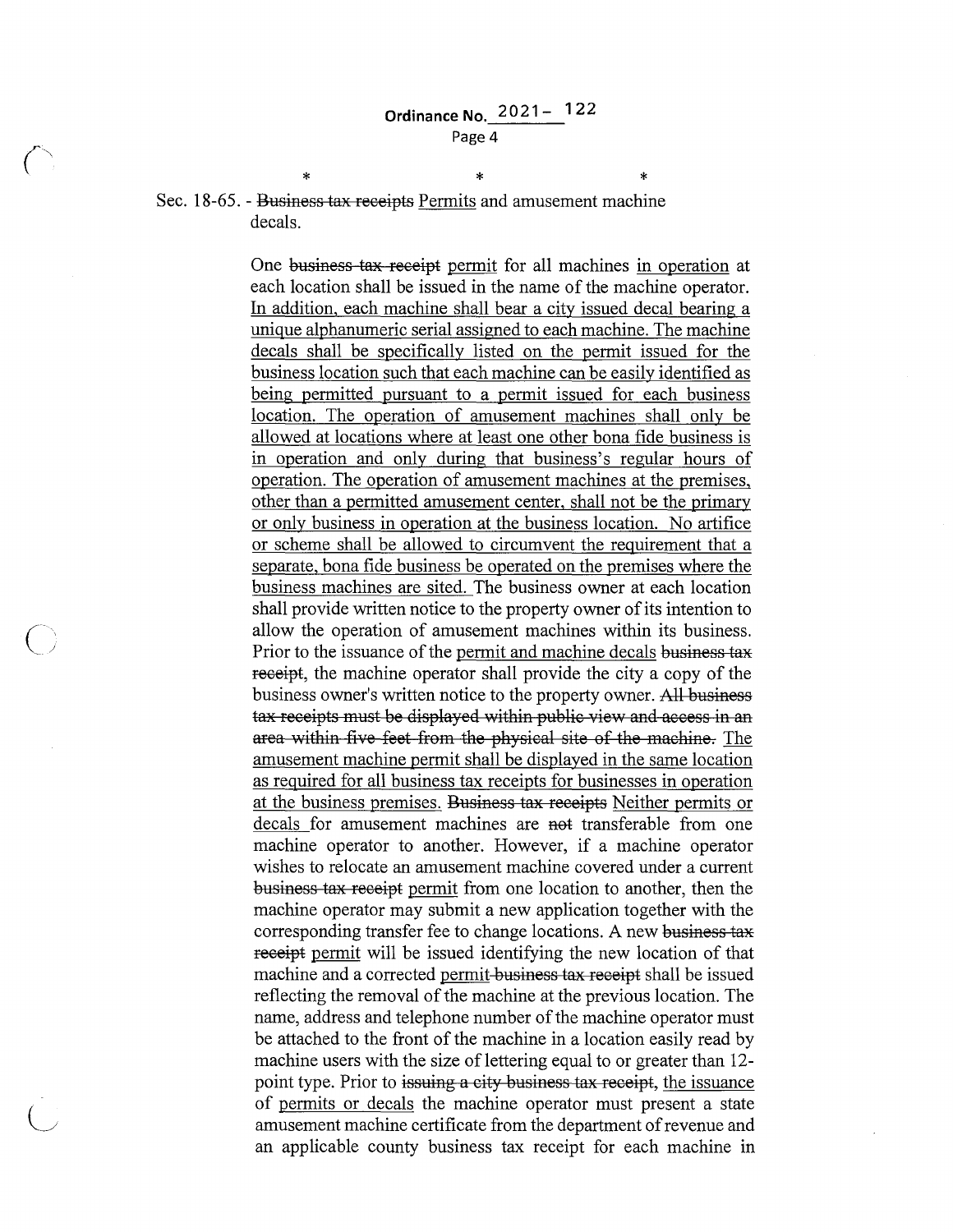\* \* \* Sec. 18-65. - <del>Business tax receipts</del> Permits and amusement machine decals.

> One business tax receipt permit for all machines in operation at each location shall be issued in the name of the machine operator. In addition, each machine shall bear a city issued decal bearing a unique alphanumeric serial assigned to each machine. The machine decals shall be specifically listed on the permit issued for the business location such that each machine can be easily identified as being permitted pursuant to a permit issued for each business location. The operation of amusement machines shall only be allowed at locations where at least one other bona fide business is in operation and only during that business's regular hours of operation. The operation of amusement machines at the premises, other than a permitted amusement center, shall not be the primary or only business in operation at the business location. No artifice or scheme shall be allowed to circumvent the requirement that a separate, bona fide business be operated on the premises where the business machines are sited. The business owner at each location shall provide written notice to the property owner of its intention to allow the operation of amusement machines within its business. Prior to the issuance of the permit and machine decals business tax receipt, the machine operator shall provide the city a copy of the business owner's written notice to the property owner. All business tax receipts must be displayed within public view and access in an area within five feet from the physical site of the machine. The amusement machine permit shall be displayed in the same location as required for all business tax receipts for businesses in operation at the business premises. Business tax receipts Neither permits or decals for amusement machines are not transferable from one machine operator to another. However, if a machine operator wishes to relocate an amusement machine covered under a current business tax receipt permit from one location to another, then the machine operator may submit a new application together with the corresponding transfer fee to change locations. A new business tax receipt permit will be issued identifying the new location of that machine and a corrected permit-business tax receipt shall be issued reflecting the removal of the machine at the previous location. The name, address and telephone number of the machine operator must be attached to the front of the machine in a location easily read by machine users with the size of lettering equal to or greater than 12point type. Prior to issuing a city business tax receipt, the issuance of permits or decals the machine operator must present a state amusement machine certificate from the department of revenue and an applicable county business tax receipt for each machine in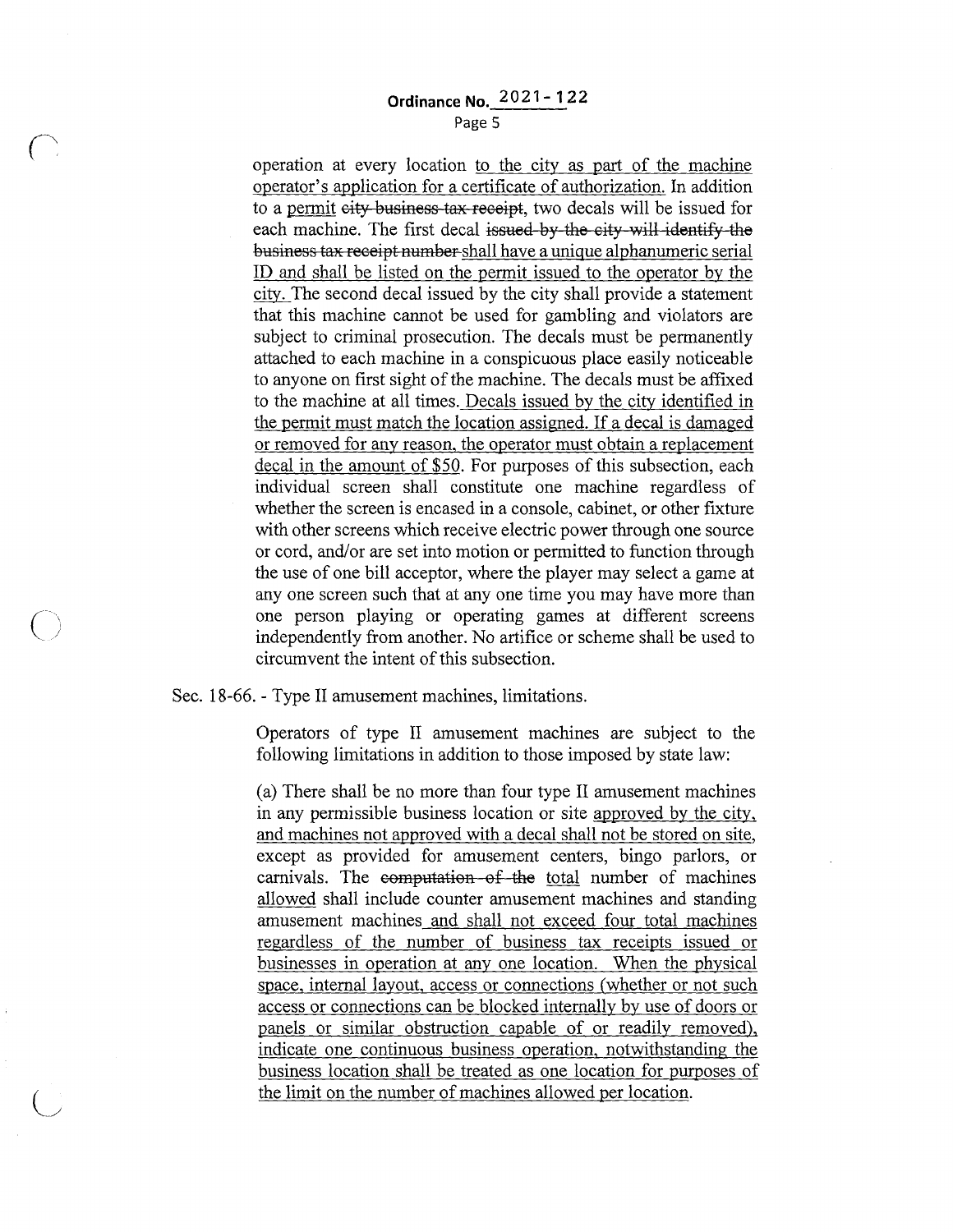### **Ordinance No.** 2021 - **122**  Page 5

operation at every location to the city as part of the machine operator's application for a certificate of authorization. In addition to a permit city business tax receipt, two decals will be issued for each machine. The first decal issued by the city will identify the business tax receipt number shall have a unique alphanumeric serial ID and shall be listed on the permit issued to the operator by the city. The second decal issued by the city shall provide a statement that this machine cannot be used for gambling and violators are subject to criminal prosecution. The decals must be permanently attached to each machine in a conspicuous place easily noticeable to anyone on first sight of the machine. The decals must be affixed to the machine at all times. Decals issued by the city identified in the permit must match the location assigned. If a decal is damaged or removed for any reason, the operator must obtain a replacement decal in the amount of \$50. For purposes of this subsection, each individual screen shall constitute one machine regardless of whether the screen is encased in a console, cabinet, or other fixture with other screens which receive electric power through one source or cord, and/or are set into motion or permitted to function through the use of one bill acceptor, where the player may select a game at any one screen such that at any one time you may have more than one person playing or operating games at different screens independently from another. No artifice or scheme shall be used to circumvent the intent of this subsection.

Sec. 18-66. - Type II amusement machines, limitations.

 $\left( \begin{array}{c} \lambda \end{array} \right)$ 

Operators of type II amusement machines are subject to the following limitations in addition to those imposed by state law:

(a) There shall be no more than four type II amusement machines in any permissible business location or site approved by the city, and machines not approved with a decal shall not be stored on site, except as provided for amusement centers, bingo parlors, or carnivals. The computation of the total number of machines allowed shall include counter amusement machines and standing amusement machines and shall not exceed four total machines regardless of the number of business tax receipts issued or businesses in operation at any one location. When the physical space, internal layout, access or connections (whether or not such access or connections can be blocked internally by use of doors or panels or similar obstruction capable of or readily removed), indicate one continuous business operation, notwithstanding the business location shall be treated as one location for purposes of the limit on the number of machines allowed per location.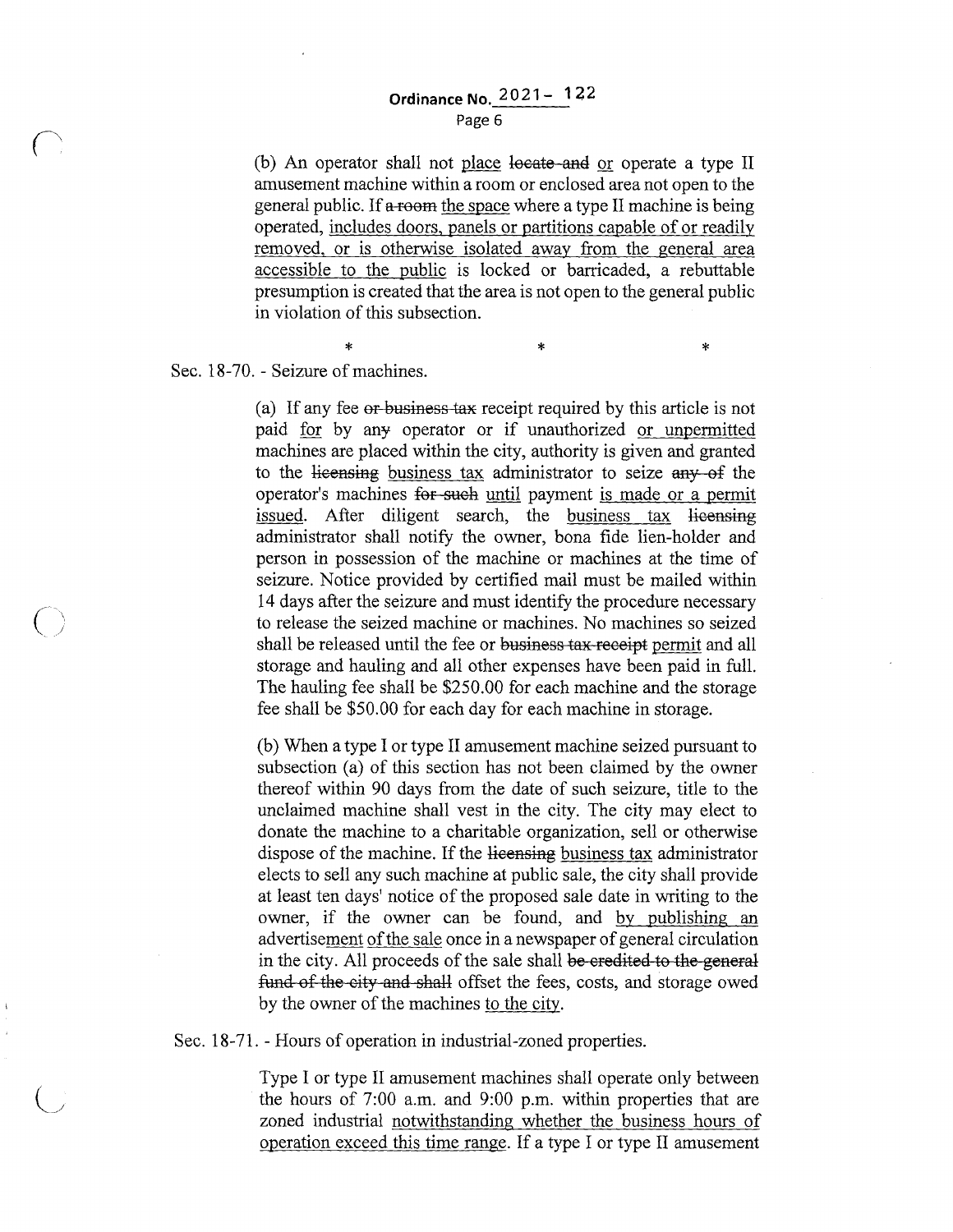## **Ordinance No. 2021-122**

Page 6

(b) An operator shall not place locate and or operate a type II amusement machine within a room or enclosed area not open to the general public. If a room the space where a type II machine is being operated, includes doors, panels or partitions capable of or readily removed, or is otherwise isolated away from the general area accessible to the public is locked or barricaded, a rebuttable presumption is created that the area is not open to the general public in violation of this subsection.

\* \* \* \* \* \* \* Sec. 18-70. - Seizure of machines.

 $\overline{O}$ 

(a) If any fee or business tax receipt required by this article is not paid for by any operator or if unauthorized or unpermitted machines are placed within the city, authority is given and granted to the licensing business tax administrator to seize any of the operator's machines for such until payment is made or a permit issued. After diligent search, the business tax licensing administrator shall notify the owner, bona fide lien-holder and person in possession of the machine or machines at the time of seizure. Notice provided by certified mail must be mailed within 14 days after the seizure and must identify the procedure necessary to release the seized machine or machines. No machines so seized shall be released until the fee or business tax receipt permit and all storage and hauling and all other expenses have been paid in full. The hauling fee shall be \$250.00 for each machine and the storage fee shall be \$50.00 for each day for each machine in storage.

(b) When a type I or type II amusement machine seized pursuant to subsection (a) of this section has not been claimed by the owner thereof within 90 days from the date of such seizure, title to the unclaimed machine shall vest in the city. The city may elect to donate the machine to a charitable organization, sell or otherwise dispose of the machine. If the licensing business tax administrator elects to sell any such machine at public sale, the city shall provide at least ten days' notice of the proposed sale date in writing to the owner, if the owner can be found, and by publishing an advertisement of the sale once in a newspaper of general circulation in the city. All proceeds of the sale shall be credited to the general fund of the city and shall offset the fees, costs, and storage owed by the owner of the machines to the city.

Sec. 18-71. - Hours of operation in industrial-zoned properties.

Type I or type II amusement machines shall operate only between the hours of 7:00 a.m. and 9:00 p.m. within properties that are zoned industrial notwithstanding whether the business hours of operation exceed this time range. If a type I or type II amusement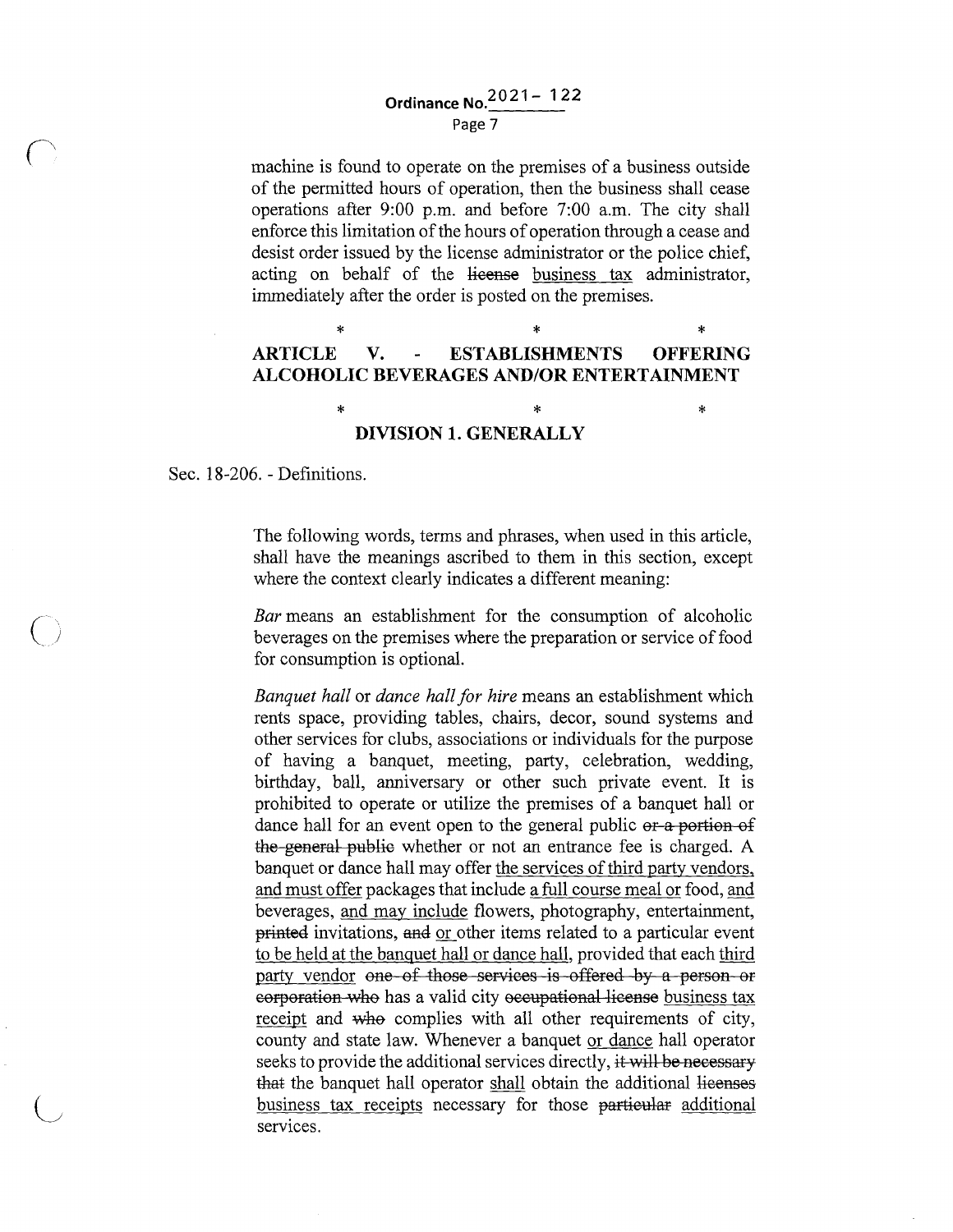# **Ordinance No.<sup>2021</sup> -** 122

Page 7

machine is found to operate on the premises of a business outside of the permitted hours of operation, then the business shall cease operations after 9:00 p.m. and before 7:00 a.m. The city shall enforce this limitation of the hours of operation through a cease and desist order issued by the license administrator or the police chief, acting on behalf of the license business tax administrator, immediately after the order is posted on the premises.

#### \* \* \* **ARTICLE V. ESTABLISHMENTS OFFERING ALCOHOLIC BEVERAGES AND/OR ENTERTAINMENT**

#### \* \* \* **DIVISION 1. GENERALLY**

Sec. 18-206. - Definitions.

 $\bigcap$ 

The following words, terms and phrases, when used in this article, shall have the meanings ascribed to them in this section, except where the context clearly indicates a different meaning:

*Bar* means an establishment for the consumption of alcoholic beverages on the premises where the preparation or service of food for consumption is optional.

*Banquet hall* or *dance hall for hire* means an establishment which rents space, providing tables, chairs, decor, sound systems and other services for clubs, associations or individuals for the purpose of having a banquet, meeting, party, celebration, wedding, birthday, ball, anniversary or other such private event. It is prohibited to operate or utilize the premises of a banquet hall or dance hall for an event open to the general public or a portion of the general public whether or not an entrance fee is charged. A banquet or dance hall may offer the services of third party vendors, and must offer packages that include a full course meal or food, and beverages, and may include flowers, photography, entertainment, printed invitations, and or other items related to a particular event to be held at the banquet hall or dance hall, provided that each third party vendor one of those services is offered by a person or corporation who has a valid city occupational license business tax receipt and who complies with all other requirements of city, county and state law. Whenever a banquet or dance hall operator seeks to provide the additional services directly, it will be necessary that the banquet hall operator shall obtain the additional licenses business tax receipts necessary for those particular additional services.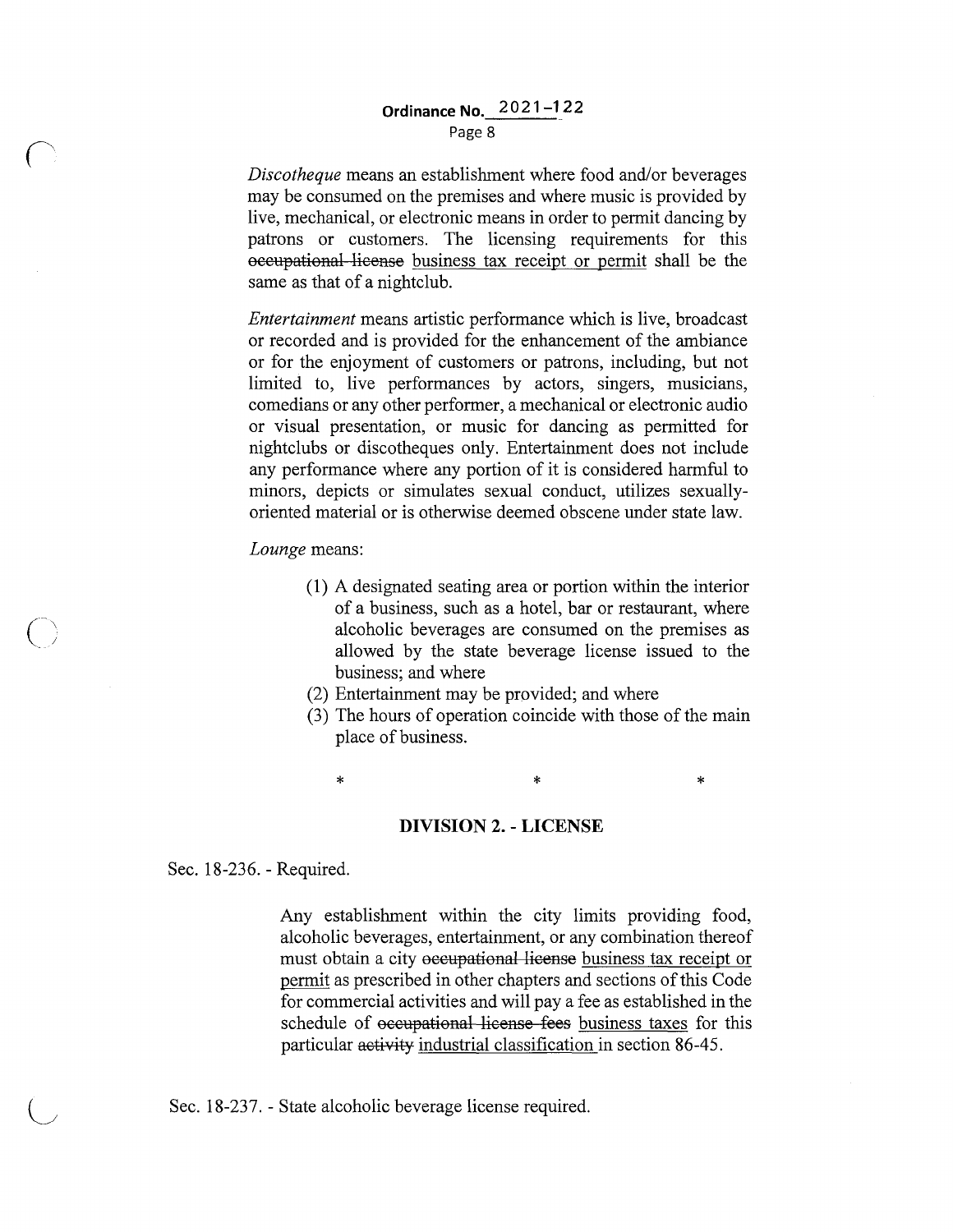### **Ordinance No. 2021-122**  Page 8

*Discotheque* means an establishment where food and/or beverages may be consumed on the premises and where music is provided by live, mechanical, or electronic means in order to permit dancing by patrons or customers. The licensing requirements for this occupational license business tax receipt or permit shall be the same as that of a nightclub.

*Entertainment* means artistic performance which is live, broadcast or recorded and is provided for the enhancement of the ambiance or for the enjoyment of customers or patrons, including, but not limited to, live performances by actors, singers, musicians, comedians or any other performer, a mechanical or electronic audio or visual presentation, or music for dancing as permitted for nightclubs or discotheques only. Entertainment does not include any performance where any portion of it is considered harmful to minors, depicts or simulates sexual conduct, utilizes sexuallyoriented material or is otherwise deemed obscene under state law.

*Lounge* means:

- (1) A designated seating area or portion within the interior of a business, such as a hotel, bar or restaurant, where alcoholic beverages are consumed on the premises as allowed by the state beverage license issued to the business; and where
- (2) Entertainment may be provided; and where
- (3) The hours of operation coincide with those of the main place of business.

 $\ast$   $\ast$   $\ast$ 

#### **DIVISION 2. - LICENSE**

Sec. 18-236. - Required.

 $\bigcup$ 

Any establishment within the city limits providing food, alcoholic beverages, entertainment, or any combination thereof must obtain a city occupational license business tax receipt or permit as prescribed in other chapters and sections of this Code for commercial activities and will pay a fee as established in the schedule of occupational license fees business taxes for this particular activity industrial classification in section 86-45.

Sec. 18-237. - State alcoholic beverage license required.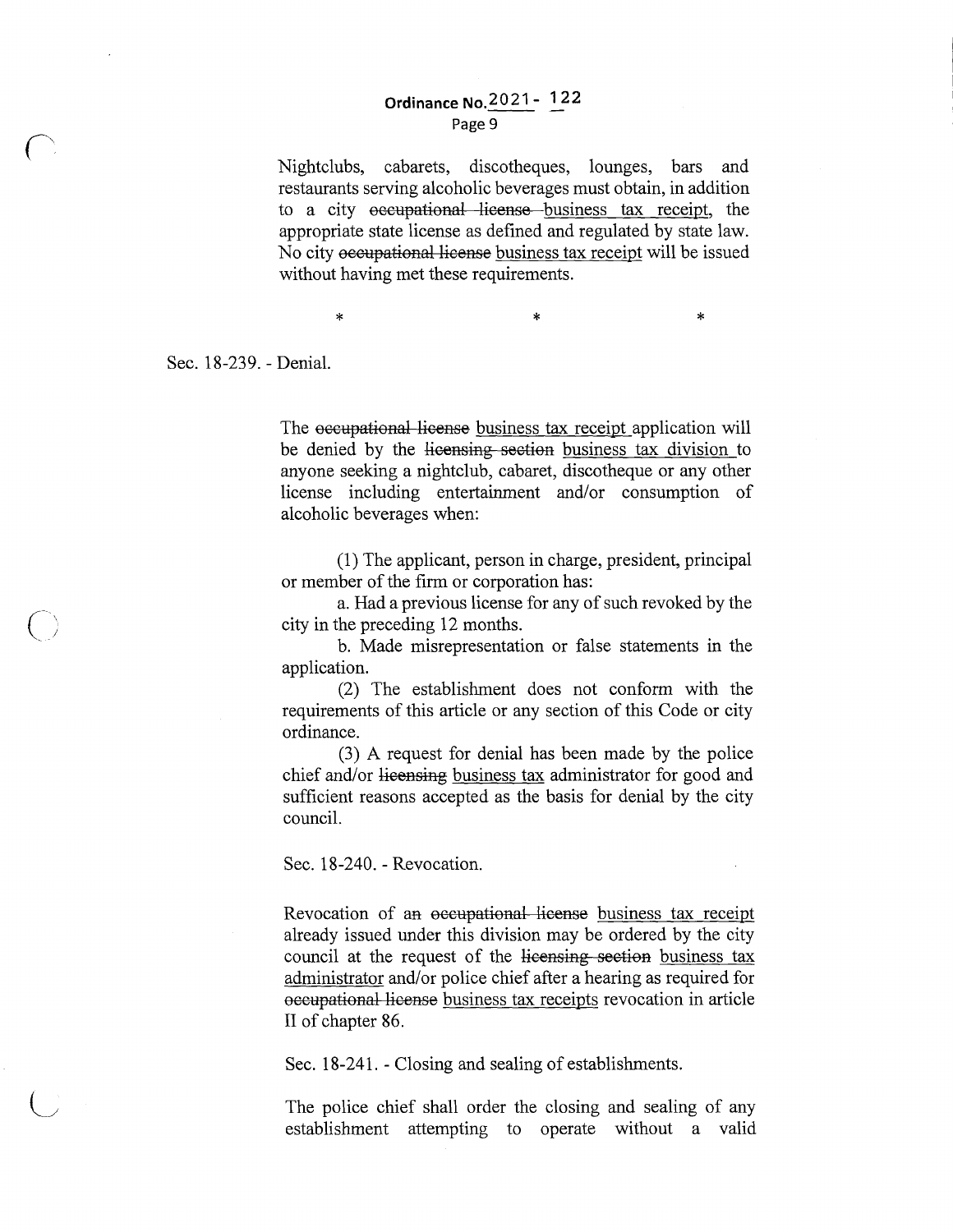#### **Ordinance No. 2021 - 122** Page 9

Nightclubs, cabarets, discotheques, lounges, bars and restaurants serving alcoholic beverages must obtain, in addition to a city occupational license business tax receipt, the appropriate state license as defined and regulated by state law. No city occupational license business tax receipt will be issued without having met these requirements.

 $\ddot{x}$  \*  $\ddot{x}$ 

Sec. 18-239. - Denial.

The occupational license business tax receipt application will be denied by the licensing section business tax division to anyone seeking a nightclub, cabaret, discotheque or any other license including entertainment and/or consumption of alcoholic beverages when:

(1) The applicant, person in charge, president, principal or member of the firm or corporation has:

a. Had a previous license for any of such revoked by the city in the preceding 12 months.

b. Made misrepresentation or false statements in the application.

(2) The establishment does not conform with the requirements of this article or any section of this Code or city ordinance.

(3) A request for denial has been made by the police chief and/or licensing business tax administrator for good and sufficient reasons accepted as the basis for denial by the city council.

Sec. 18-240. - Revocation.

Revocation of an occupational license business tax receipt already issued under this division may be ordered by the city council at the request of the licensing section business tax administrator and/or police chief after a hearing as required for occupational license business tax receipts revocation in article II of chapter 86.

Sec. 18-241. - Closing and sealing of establishments.

The police chief shall order the closing and sealing of any establishment attempting to operate without a valid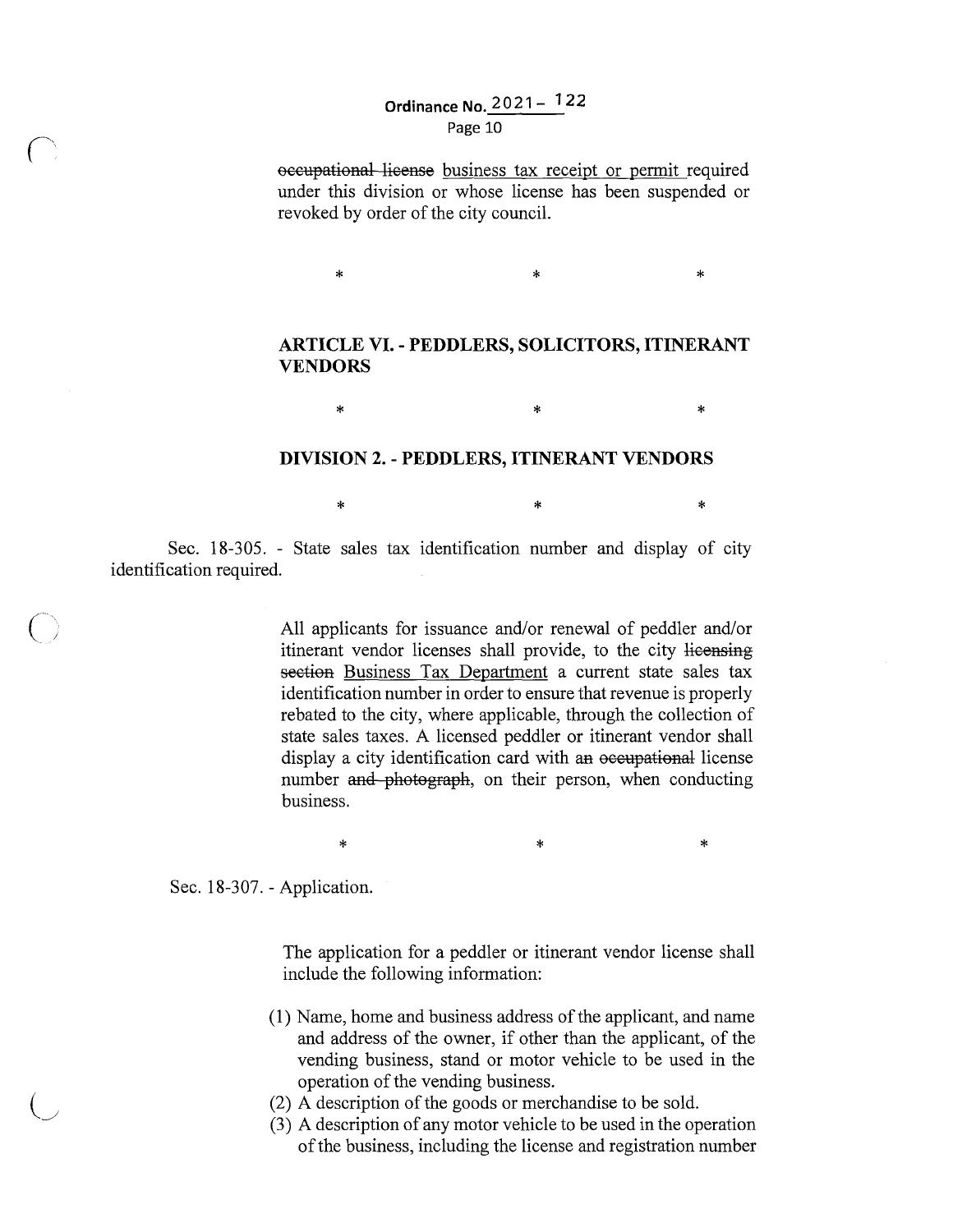### **Ordinance No. 2021- l 22**  Page 10

occupational license business tax receipt or permit required under this division or whose license has been suspended or revoked by order of the city council.

#### **ARTICLE VI. - PEDDLERS, SOLICITORS, ITINERANT VENDORS**

 $*$  \*  $*$  \*

 $*$   $*$   $*$ 

 $*$  \*  $*$ 

#### **DIVISION 2. - PEDDLERS, ITINERANT VENDORS**

Sec. 18-305. - State sales tax identification number and display of city identification required.

> All applicants for issuance and/or renewal of peddler and/or itinerant vendor licenses shall provide, to the city licensing section Business Tax Department a current state sales tax identification number in order to ensure that revenue is properly rebated to the city, where applicable, through the collection of state sales taxes. A licensed peddler or itinerant vendor shall display a city identification card with an occupational license number and photograph, on their person, when conducting business.

Sec. 18-307. - Application.

CJ

The application for a peddler or itinerant vendor license shall include the following information:

 $*$  \*  $*$  \*  $*$ 

- **(1)** Name, home and business address of the applicant, and name and address of the owner, if other than the applicant, of the vending business, stand or motor vehicle to be used in the operation of the vending business.
- (2) A description of the goods or merchandise to be sold.
- (3) A description of any motor vehicle to be used in the operation of the business, including the license and registration number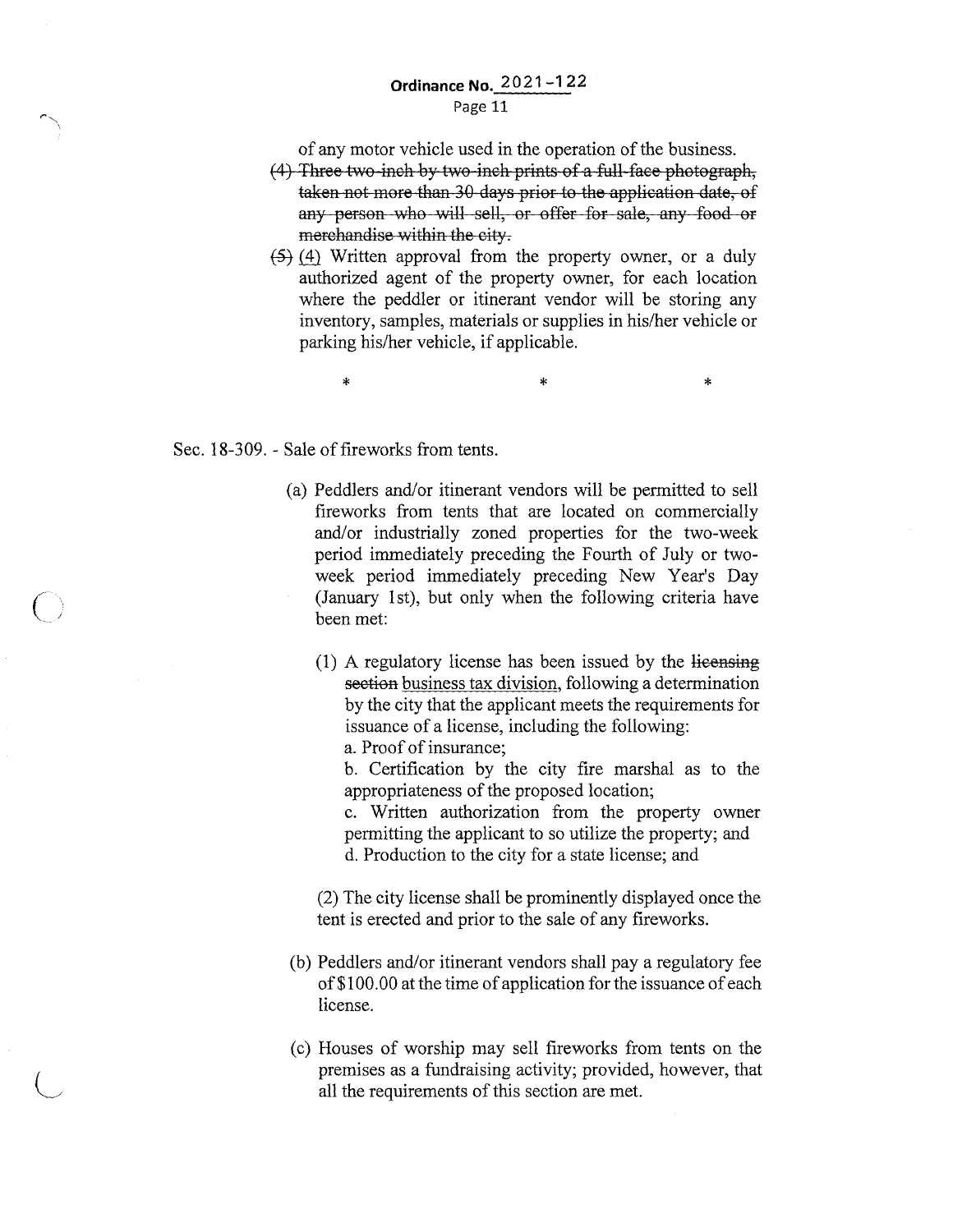#### **Ordinance No.** 2021-122 Page 11

of any motor vehicle used in the operation of the business.

- (4) Three two-inch by two-inch prints of a full-face photograph, taken not more than 30 days prior to the application date, of any person who will sell, or offer for sale, any food or merchandise within the city.
- $(5)$  (4) Written approval from the property owner, or a duly authorized agent of the property owner, for each location where the peddler or itinerant vendor will be storing any inventory, samples, materials or supplies in his/her vehicle or parking his/her vehicle, if applicable.

 $*$  \*  $*$  \*  $*$ 

Sec. 18-309. - Sale of fireworks from tents.

 $\bigcap$ 

- (a) Peddlers and/or itinerant vendors will be permitted to sell fireworks from tents that are located on commercially and/or industrially zoned properties for the two-week period immediately preceding the Fourth of July or twoweek period immediately preceding New Year's Day (January 1st), but only when the following criteria have been met:
	- ( 1) A regulatory license has been issued by the licensing section business tax division, following a determination by the city that the applicant meets the requirements for issuance of a license, including the following:

a. Proof of insurance;

b. Certification by the city fire marshal as to the appropriateness of the proposed location;

c. Written authorization from the property owner permitting the applicant to so utilize the property; and d. Production to the city for a state license; and

(2) The city license shall be prominently displayed once the tent is erected and prior to the sale of any fireworks.

- (b) Peddlers and/or itinerant vendors shall pay a regulatory fee of\$100.00 at the time of application for the issuance of each license.
- (c) Houses of worship may sell fireworks from tents on the premises as a fundraising activity; provided, however, that all the requirements of this section are met.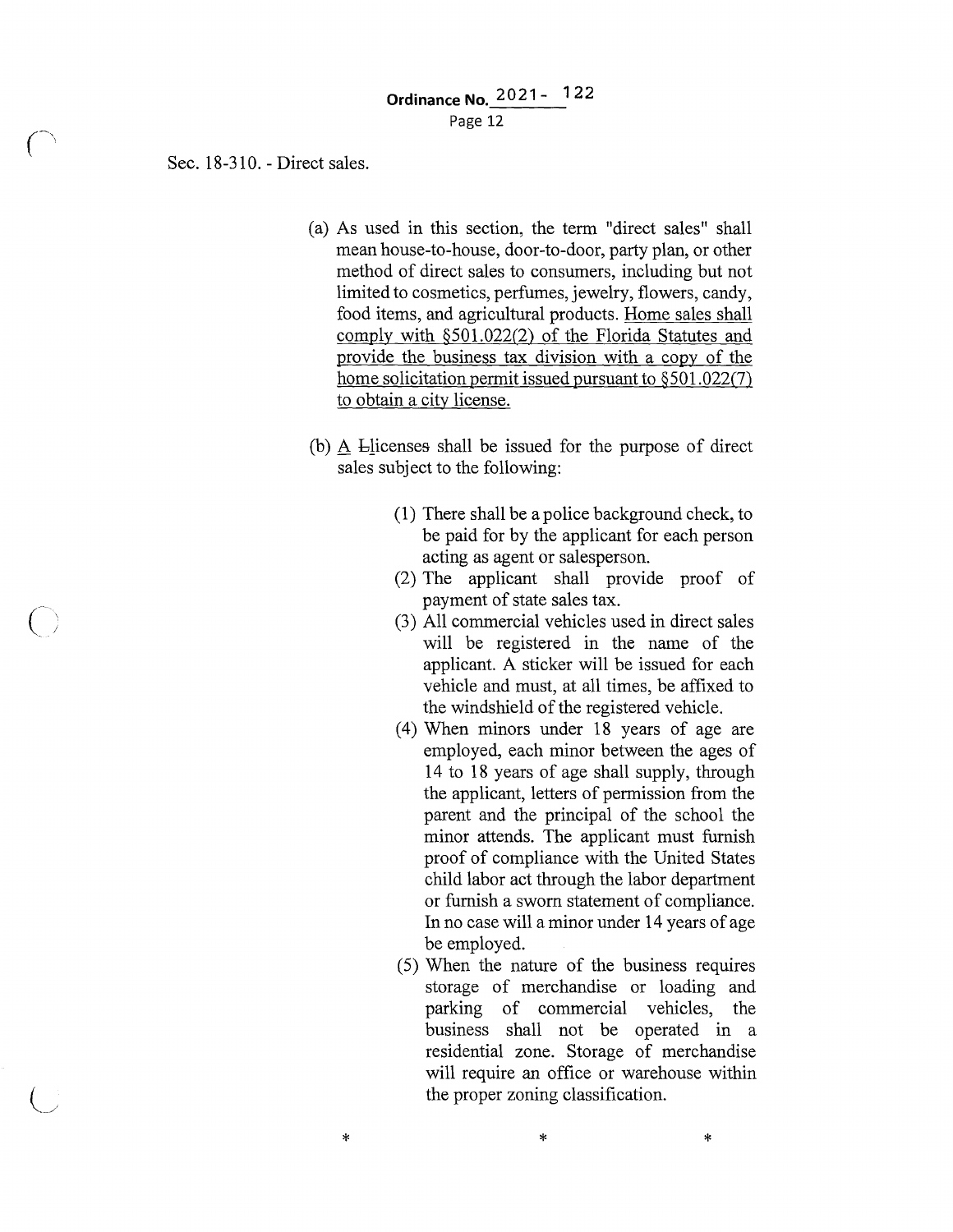Sec. 18-310. - Direct sales.

 $\overline{(\ )}$ 

- (a) As used in this section, the term "direct sales" shall mean house-to-house, door-to-door, party plan, or other method of direct sales to consumers, including but not limited to cosmetics, perfumes, jewelry, flowers, candy, food items, and agricultural products. Home sales shall comply with §501.022(2) of the Florida Statutes and provide the business tax division with a copy of the home solicitation permit issued pursuant to  $\S 501.022(7)$ to obtain a city license.
- (b) A blicenses shall be issued for the purpose of direct sales subject to the following:
	- (1) There shall be a police background check, to be paid for by the applicant for each person acting as agent or salesperson.
	- (2) The applicant shall provide proof of payment of state sales tax.
	- (3) All commercial vehicles used in direct sales will be registered in the name of the applicant. A sticker will be issued for each vehicle and must, at all times, be affixed to the windshield of the registered vehicle.
	- ( 4) When minors under 18 years of age are employed, each minor between the ages of 14 to 18 years of age shall supply, through the applicant, letters of permission from the parent and the principal of the school the minor attends. The applicant must furnish proof of compliance with the United States child labor act through the labor department or furnish a sworn statement of compliance. In no case will a minor under 14 years of age be employed.
	- (5) When the nature of the business requires storage of merchandise or loading and parking of commercial vehicles, the business shall not be operated in a residential zone. Storage of merchandise will require an office or warehouse within the proper zoning classification.

\*

\* \*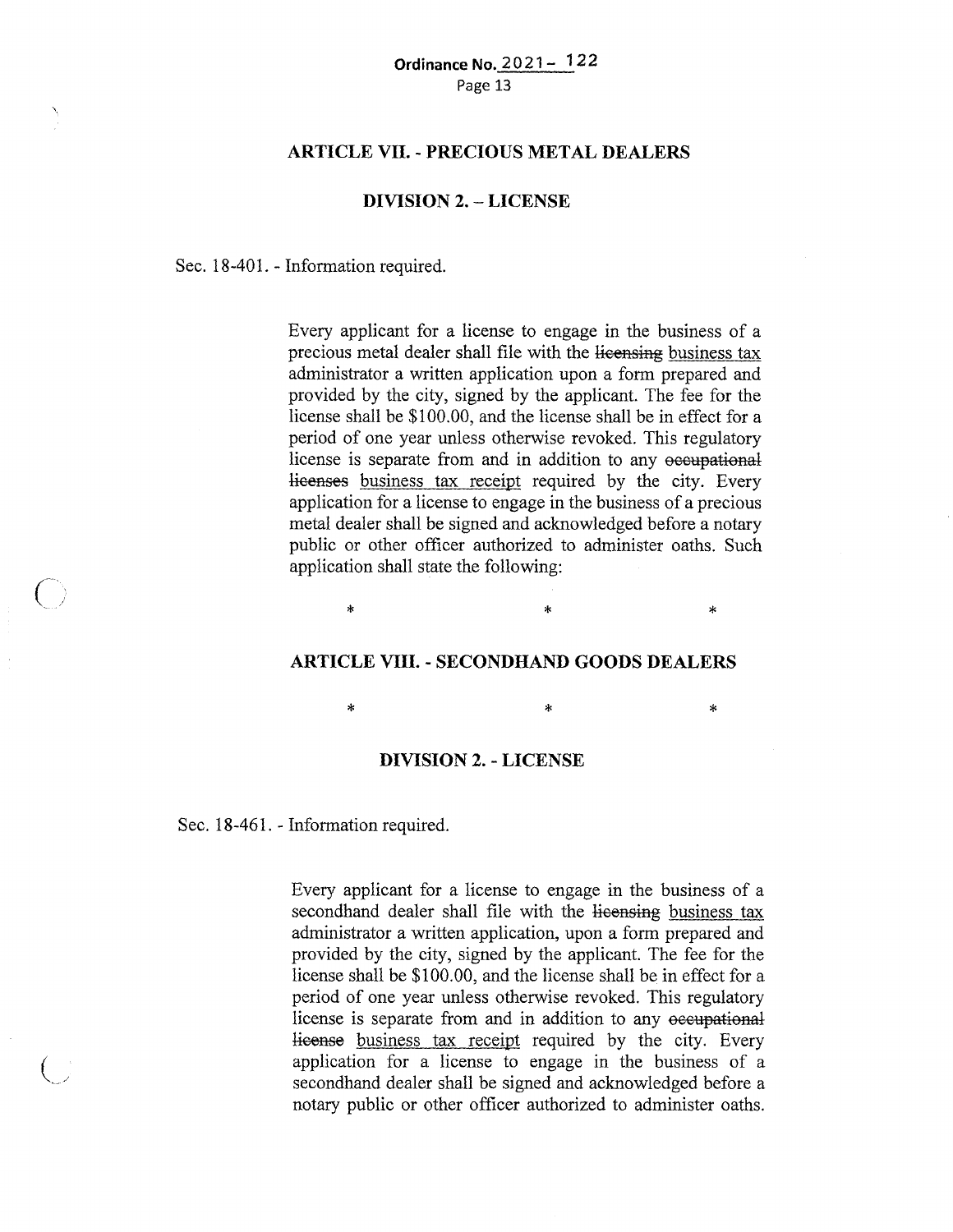#### **ARTICLE VII. - PRECIOUS METAL DEALERS**

#### **DIVISION 2. - LICENSE**

Sec. 18-401. - Information required.

Every applicant for a license to engage in the business of a precious metal dealer shall file with the licensing business tax administrator a written application upon a form prepared and provided by the city, signed by the applicant. The fee for the license shall be \$100.00, and the license shall be in effect for a period of one year unless otherwise revoked. This regulatory license is separate from and in addition to any occupational licenses business tax receipt required by the city. Every application for a license to engage in the business of a precious metal dealer shall be signed and acknowledged before a notary public or other officer authorized to administer oaths. Such application shall state the following:

#### **ARTICLE VIII. - SECONDHAND GOODS DEALERS**

 $\ast$   $\ast$   $\ast$ 

 $\ast$   $\ast$   $\ast$ 

**DIVISION 2. - LICENSE** 

Sec. 18-461. - Information required.

Every applicant for a license to engage in the business of a secondhand dealer shall file with the licensing business tax administrator a written application, upon a form prepared and provided by the city, signed by the applicant. The fee for the license shall be \$100.00, and the license shall be in effect for a period of one year unless otherwise revoked. This regulatory license is separate from and in addition to any occupational license business tax receipt required by the city. Every application for a license to engage in the business of a secondhand dealer shall be signed and acknowledged before a notary public or other officer authorized to administer oaths.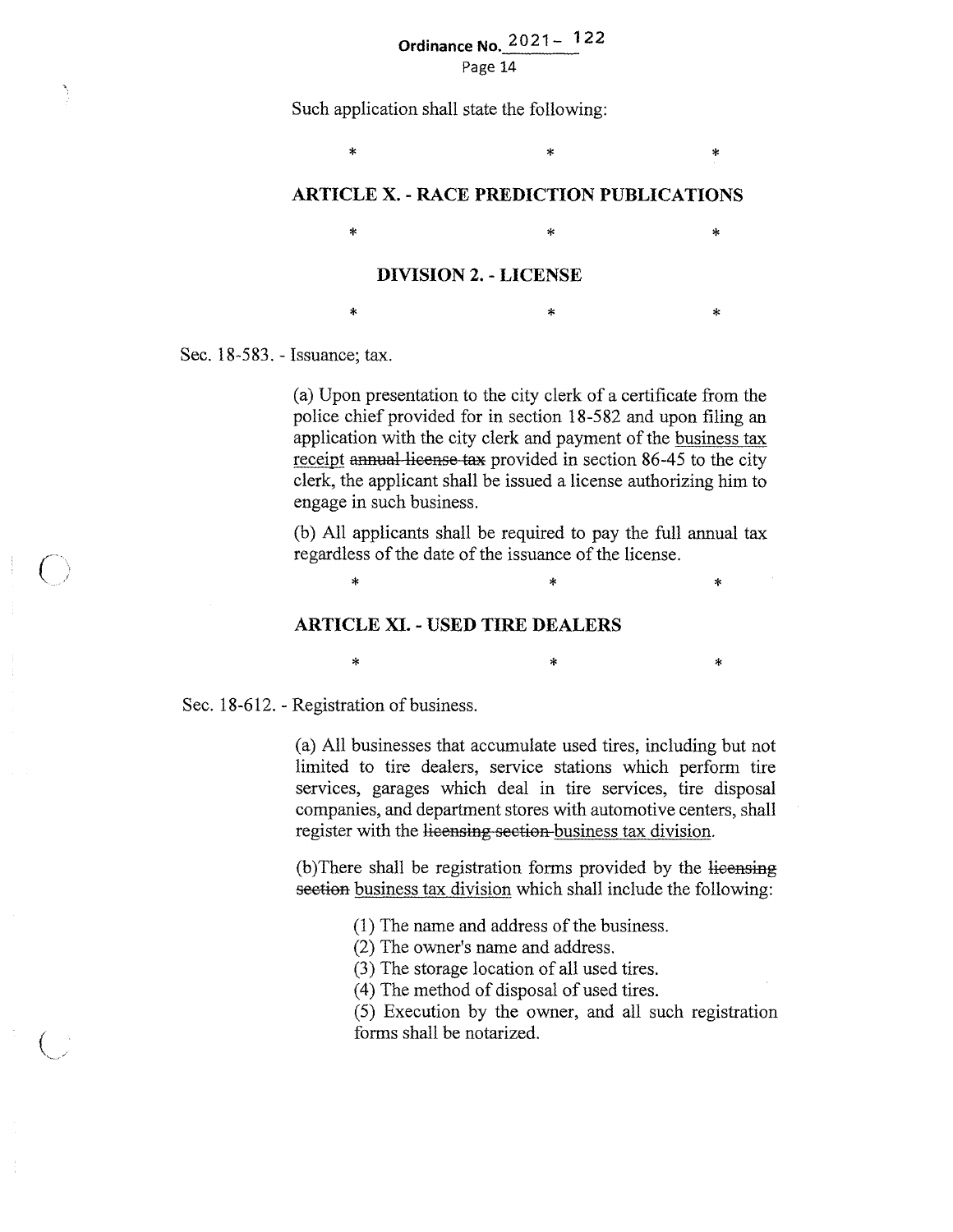## **Ordinance No. 2021-** 122

Page 14

Such application shall state the following:

**ARTICLE X. - RACE PREDICTION PUBLICATIONS** 

 $*$  \*  $*$  \*

 $*$  \*  $*$  \*  $*$ 

#### **DIVISION 2. - LICENSE**

Sec. 18-583. - Issuance; tax.

 $\epsilon$ 

(a) Upon presentation to the city clerk of a certificate from the police chief provided for in section 18-5 82 and upon filing an application with the city clerk and payment of the business tax receipt annual license tax provided in section 86-45 to the city clerk, the applicant shall be issued a license authorizing him to engage in such business.

 $*$  \*  $*$ 

(b) All applicants shall be required to pay the full annual tax regardless of the date of the issuance of the license.

 $\ddot{x}$  \*  $\ddot{x}$ 

 $*$  \*  $*$  \*

#### **ARTICLE XI. - USED TIRE DEALERS**

Sec. 18-612. - Registration of business.

(a) All businesses that accumulate used tires, including but not limited to tire dealers, service stations which perform tire services, garages which deal in tire services, tire disposal companies, and department stores with automotive centers, shall register with the licensing section-business tax division.

(b) There shall be registration forms provided by the licensing section business tax division which shall include the following:

(1) The name and address of the business.

(2) The owner's name and address.

(3) The storage location of all used tires.

(4) The method of disposal of used tires.

(5) Execution by the owner, and all such registration forms shall be notarized.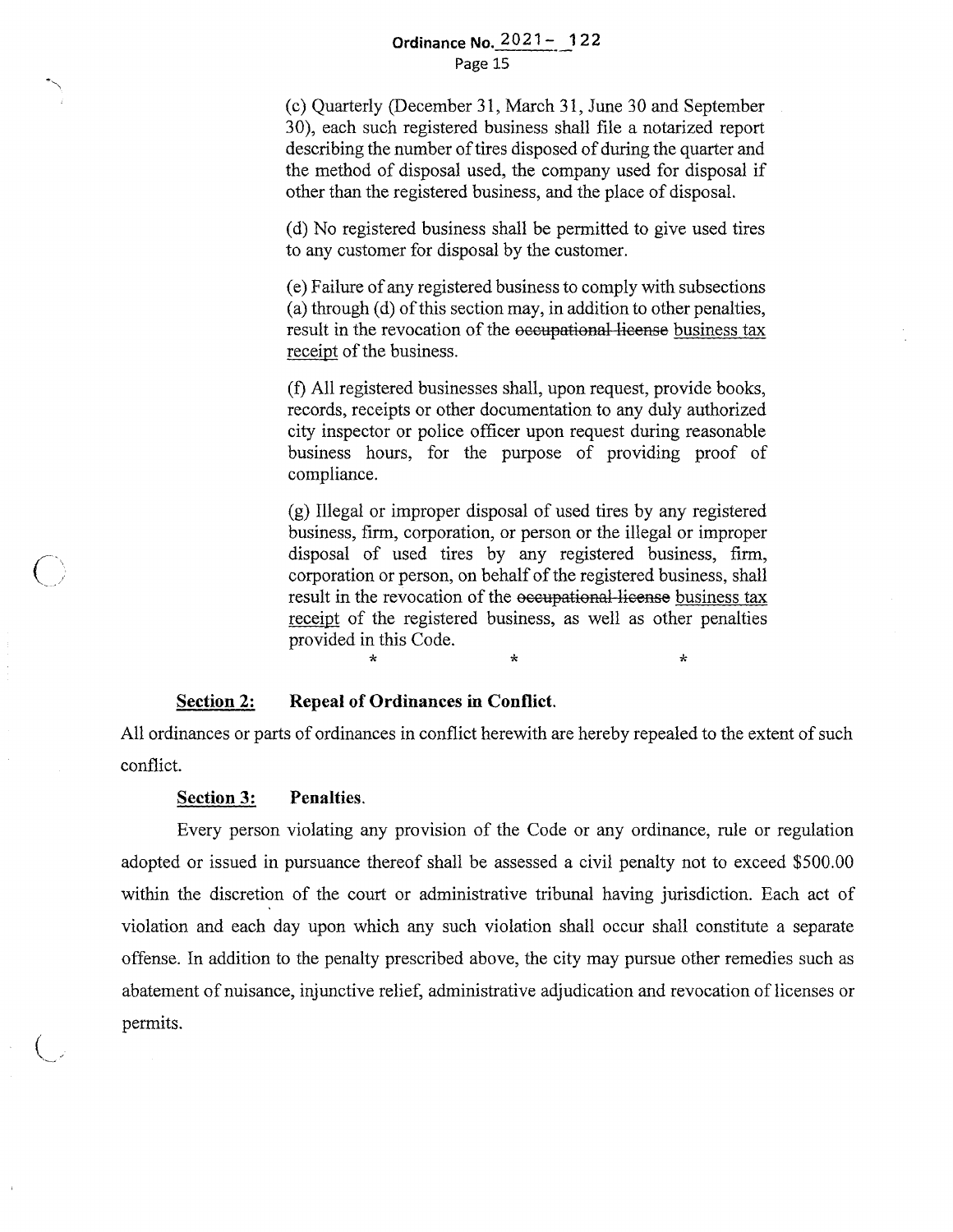#### **Ordinance No. 2021-122** Page 15

(c) Quarterly (December 31, March 31, June 30 and September 30), each such registered business shall file a notarized report describing the number of tires disposed of during the quarter and the method of disposal used, the company used for disposal if other than the registered business, and the place of disposal.

(d) No registered business shall be permitted to give used tires to any customer for disposal by the customer.

( e) Failure of any registered business to comply with subsections (a) through (d) of this section may, in addition to other penalties, result in the revocation of the occupational license business tax receipt of the business.

(f) All registered businesses shall, upon request, provide books, records, receipts or other documentation to any duly authorized city inspector or police officer upon request during reasonable business hours, for the purpose of providing proof of compliance.

(g) Illegal or improper disposal of used tires by any registered business, firm, corporation, or person or the illegal or improper disposal of used tires by any registered business, firm, corporation or person, on behalf of the registered business, shall result in the revocation of the occupational license business tax receipt of the registered business, as well as other penalties provided in this Code.

 $\star$  \*  $\star$  \*  $\star$ 

#### **Section 2: Repeal of Ordinances in Conflict.**

All ordinances or parts of ordinances in conflict herewith are hereby repealed to the extent of such conflict.

#### **Section 3: Penalties.**

 $\bigcirc$ 

Every person violating any provision of the Code or any ordinance, rule or regulation adopted or issued in pursuance thereof shall be assessed a civil penalty not to exceed \$500.00 within the discretion of the court or administrative tribunal having jurisdiction. Each act of violation and each day upon which any such violation shall occur shall constitute a separate offense. In addition to the penalty prescribed above, the city may pursue other remedies such as abatement of nuisance, injunctive relief, administrative adjudication and revocation of licenses or permits.